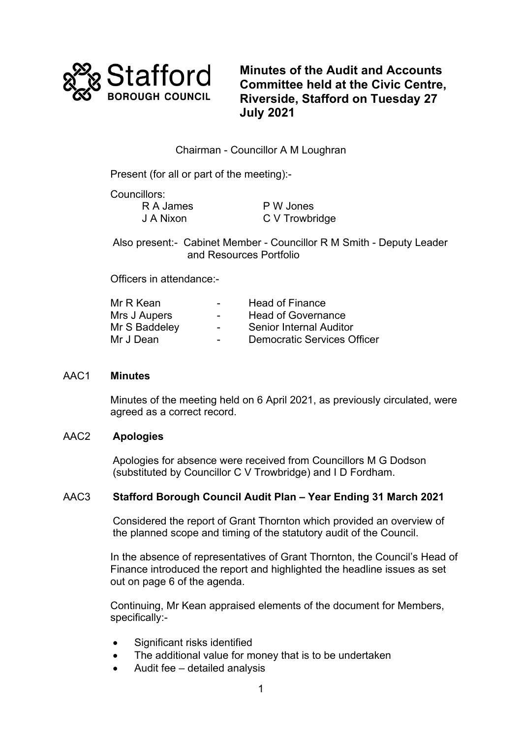

**Minutes of the Audit and Accounts Committee held at the Civic Centre, Riverside, Stafford on Tuesday 27 July 2021**

# Chairman - Councillor A M Loughran

Present (for all or part of the meeting):-

Councillors: R A James J A Nixon

P W Jones C V Trowbridge

Also present:- Cabinet Member - Councillor R M Smith - Deputy Leader and Resources Portfolio

Officers in attendance:-

| Mr R Kean     | $\overline{\phantom{0}}$ | <b>Head of Finance</b>             |
|---------------|--------------------------|------------------------------------|
| Mrs J Aupers  | $\sim$                   | <b>Head of Governance</b>          |
| Mr S Baddeley | $\overline{\phantom{0}}$ | <b>Senior Internal Auditor</b>     |
| Mr J Dean     |                          | <b>Democratic Services Officer</b> |

# AAC1 **Minutes**

Minutes of the meeting held on 6 April 2021, as previously circulated, were agreed as a correct record.

# AAC2 **Apologies**

Apologies for absence were received from Councillors M G Dodson (substituted by Councillor C V Trowbridge) and I D Fordham.

# AAC3 **Stafford Borough Council Audit Plan – Year Ending 31 March 2021**

Considered the report of Grant Thornton which provided an overview of the planned scope and timing of the statutory audit of the Council.

In the absence of representatives of Grant Thornton, the Council's Head of Finance introduced the report and highlighted the headline issues as set out on page 6 of the agenda.

Continuing, Mr Kean appraised elements of the document for Members, specifically:-

- Significant risks identified
- The additional value for money that is to be undertaken
- Audit fee detailed analysis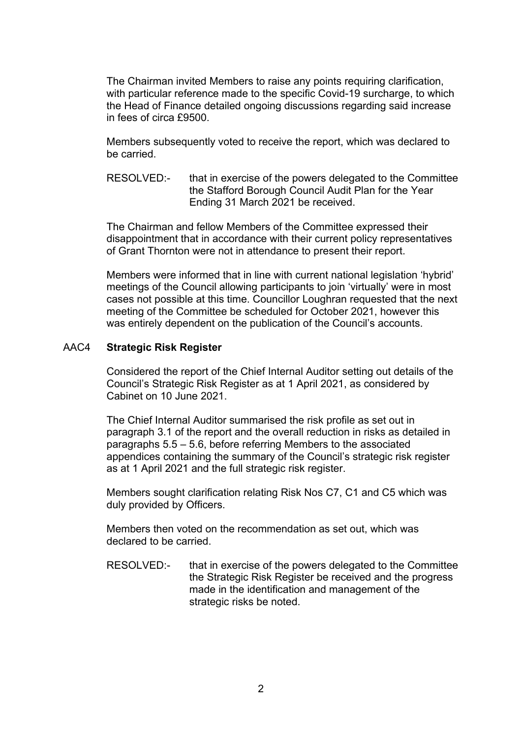The Chairman invited Members to raise any points requiring clarification, with particular reference made to the specific Covid-19 surcharge, to which the Head of Finance detailed ongoing discussions regarding said increase in fees of circa £9500.

Members subsequently voted to receive the report, which was declared to be carried.

RESOLVED:- that in exercise of the powers delegated to the Committee the Stafford Borough Council Audit Plan for the Year Ending 31 March 2021 be received.

The Chairman and fellow Members of the Committee expressed their disappointment that in accordance with their current policy representatives of Grant Thornton were not in attendance to present their report.

Members were informed that in line with current national legislation 'hybrid' meetings of the Council allowing participants to join 'virtually' were in most cases not possible at this time. Councillor Loughran requested that the next meeting of the Committee be scheduled for October 2021, however this was entirely dependent on the publication of the Council's accounts.

#### AAC4 **Strategic Risk Register**

Considered the report of the Chief Internal Auditor setting out details of the Council's Strategic Risk Register as at 1 April 2021, as considered by Cabinet on 10 June 2021.

The Chief Internal Auditor summarised the risk profile as set out in paragraph 3.1 of the report and the overall reduction in risks as detailed in paragraphs 5.5 – 5.6, before referring Members to the associated appendices containing the summary of the Council's strategic risk register as at 1 April 2021 and the full strategic risk register.

Members sought clarification relating Risk Nos C7, C1 and C5 which was duly provided by Officers.

Members then voted on the recommendation as set out, which was declared to be carried.

RESOLVED:- that in exercise of the powers delegated to the Committee the Strategic Risk Register be received and the progress made in the identification and management of the strategic risks be noted.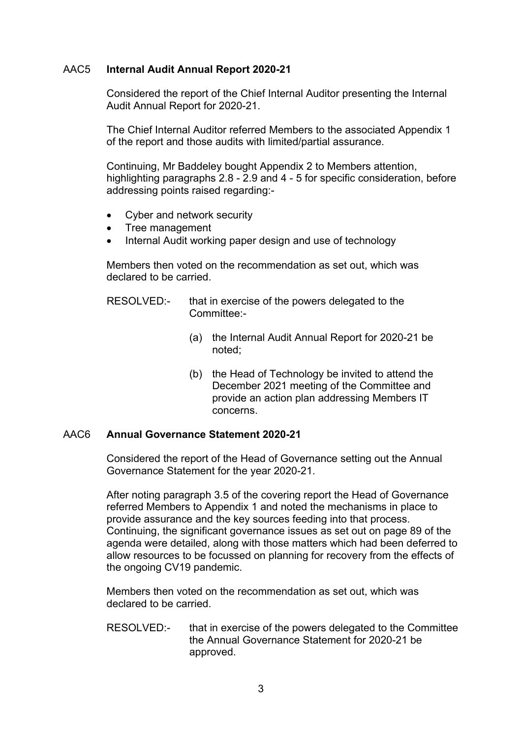### AAC5 **Internal Audit Annual Report 2020-21**

Considered the report of the Chief Internal Auditor presenting the Internal Audit Annual Report for 2020-21.

The Chief Internal Auditor referred Members to the associated Appendix 1 of the report and those audits with limited/partial assurance.

Continuing, Mr Baddeley bought Appendix 2 to Members attention, highlighting paragraphs 2.8 - 2.9 and 4 - 5 for specific consideration, before addressing points raised regarding:-

- Cyber and network security
- Tree management
- Internal Audit working paper design and use of technology

Members then voted on the recommendation as set out, which was declared to be carried.

- RESOLVED:- that in exercise of the powers delegated to the Committee:-
	- (a) the Internal Audit Annual Report for 2020-21 be noted;
	- (b) the Head of Technology be invited to attend the December 2021 meeting of the Committee and provide an action plan addressing Members IT concerns.

#### AAC6 **Annual Governance Statement 2020-21**

Considered the report of the Head of Governance setting out the Annual Governance Statement for the year 2020-21.

After noting paragraph 3.5 of the covering report the Head of Governance referred Members to Appendix 1 and noted the mechanisms in place to provide assurance and the key sources feeding into that process. Continuing, the significant governance issues as set out on page 89 of the agenda were detailed, along with those matters which had been deferred to allow resources to be focussed on planning for recovery from the effects of the ongoing CV19 pandemic.

Members then voted on the recommendation as set out, which was declared to be carried.

RESOLVED:- that in exercise of the powers delegated to the Committee the Annual Governance Statement for 2020-21 be approved.